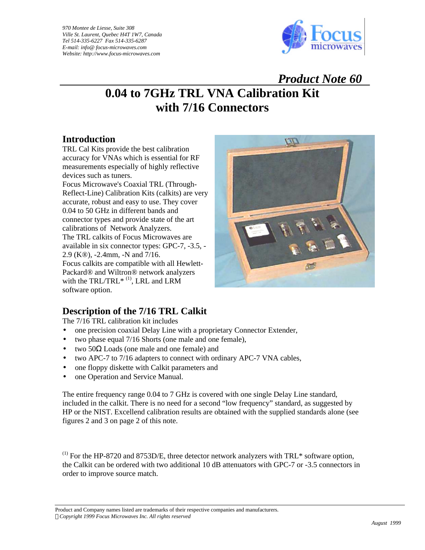*970 Montee de Liesse, Suite 308 Ville St. Laurent, Quebec H4T 1W7, Canada Tel 514-335-6227 Fax 514-335-6287 E-mail: info@ focus-microwaves.com Website: http://www.focus-microwaves.com* 



## *Product Note 60* **0.04 to 7GHz TRL VNA Calibration Kit with 7/16 Connectors**

## **Introduction**

TRL Cal Kits provide the best calibration accuracy for VNAs which is essential for RF measurements especially of highly reflective devices such as tuners.

Focus Microwave's Coaxial TRL (Through-Reflect-Line) Calibration Kits (calkits) are very accurate, robust and easy to use. They cover 0.04 to 50 GHz in different bands and connector types and provide state of the art calibrations of Network Analyzers. The TRL calkits of Focus Microwaves are available in six connector types: GPC-7, -3.5, - 2.9 (K®), -2.4mm, -N and 7/16. Focus calkits are compatible with all Hewlett-Packard® and Wiltron® network analyzers with the TRL/TRL $*$ <sup>(1)</sup>, LRL and LRM software option.



## **Description of the 7/16 TRL Calkit**

The 7/16 TRL calibration kit includes

- one precision coaxial Delay Line with a proprietary Connector Extender,
- two phase equal 7/16 Shorts (one male and one female),
- two  $50\Omega$  Loads (one male and one female) and
- two APC-7 to 7/16 adapters to connect with ordinary APC-7 VNA cables,
- one floppy diskette with Calkit parameters and
- one Operation and Service Manual.

The entire frequency range 0.04 to 7 GHz is covered with one single Delay Line standard, included in the calkit. There is no need for a second "low frequency" standard, as suggested by HP or the NIST. Excellend calibration results are obtained with the supplied standards alone (see figures 2 and 3 on page 2 of this note.

 $<sup>(1)</sup>$  For the HP-8720 and 8753D/E, three detector network analyzers with TRL\* software option,</sup> the Calkit can be ordered with two additional 10 dB attenuators with GPC-7 or -3.5 connectors in order to improve source match.

Product and Company names listed are trademarks of their respective companies and manufacturers. *ÓCopyright 1999 Focus Microwaves Inc. All rights reserved*